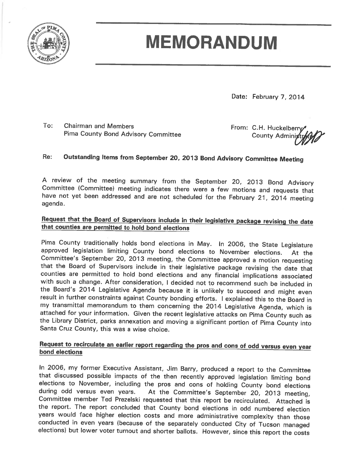

# **MEMORANDUM**

Date: February 7, 2014

To: **Chairman and Members** Pima County Bond Advisory Committee

From: C.H. Huckelberry **County Adminis** 

#### Re: Outstanding Items from September 20, 2013 Bond Advisory Committee Meeting

A review of the meeting summary from the September 20, 2013 Bond Advisory Committee (Committee) meeting indicates there were a few motions and requests that have not yet been addressed and are not scheduled for the February 21, 2014 meeting agenda.

#### Request that the Board of Supervisors include in their legislative package revising the date that counties are permitted to hold bond elections

Pima County traditionally holds bond elections in May. In 2006, the State Legislature approved legislation limiting County bond elections to November elections. At the Committee's September 20, 2013 meeting, the Committee approved a motion requesting that the Board of Supervisors include in their legislative package revising the date that counties are permitted to hold bond elections and any financial implications associated with such a change. After consideration, I decided not to recommend such be included in the Board's 2014 Legislative Agenda because it is unlikely to succeed and might even result in further constraints against County bonding efforts. I explained this to the Board in my transmittal memorandum to them concerning the 2014 Legislative Agenda, which is attached for your information. Given the recent legislative attacks on Pima County such as the Library District, parks annexation and moving a significant portion of Pima County into Santa Cruz County, this was a wise choice.

#### Request to recirculate an earlier report regarding the pros and cons of odd versus even year bond elections

In 2006, my former Executive Assistant, Jim Barry, produced a report to the Committee that discussed possible impacts of the then recently approved legislation limiting bond elections to November, including the pros and cons of holding County bond elections during odd versus even years. At the Committee's September 20, 2013 meeting, Committee member Ted Prezelski requested that this report be recirculated. Attached is the report. The report concluded that County bond elections in odd numbered election years would face higher election costs and more administrative complexity than those conducted in even years (because of the separately conducted City of Tucson managed elections) but lower voter turnout and shorter ballots. However, since this report the costs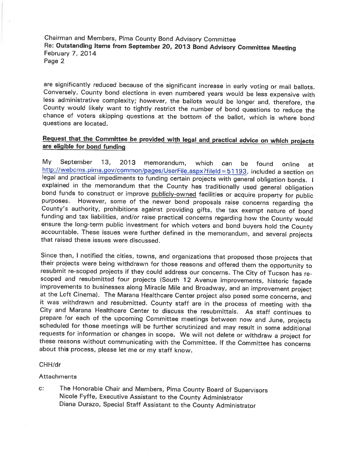Chairman and Members, Pima County Bond Advisory Committee Re: Outstanding Items from September 20, 2013 Bond Advisory Committee Meeting February 7, 2014 Page 2

are significantly reduced because of the significant increase in early voting or mail ballots. Conversely, County bond elections in even numbered years would be less expensive with less administrative complexity; however, the ballots would be longer and, therefore, the County would likely want to tightly restrict the number of bond questions to reduce the chance of voters skipping questions at the bottom of the ballot, which is where bond questions are located.

#### Request that the Committee be provided with legal and practical advice on which projects are eligible for bond funding

My September  $13,$ 2013 memorandum, which can be found online at http://webcms.pima.gov/common/pages/UserFile.aspx?fileId=51193, included a section on legal and practical impediments to funding certain projects with general obligation bonds. I explained in the memorandum that the County has traditionally used general obligation bond funds to construct or improve publicly-owned facilities or acquire property for public purposes. However, some of the newer bond proposals raise concerns regarding the County's authority, prohibitions against providing gifts, the tax exempt nature of bond funding and tax liabilities, and/or raise practical concerns regarding how the County would ensure the long-term public investment for which voters and bond buyers hold the County accountable. These issues were further defined in the memorandum, and several projects that raised these issues were discussed.

Since then, I notified the cities, towns, and organizations that proposed those projects that their projects were being withdrawn for those reasons and offered them the opportunity to resubmit re-scoped projects if they could address our concerns. The City of Tucson has rescoped and resubmitted four projects (South 12 Avenue improvements, historic façade improvements to businesses along Miracle Mile and Broadway, and an improvement project at the Loft Cinema). The Marana Healthcare Center project also posed some concerns, and it was withdrawn and resubmitted. County staff are in the process of meeting with the City and Marana Healthcare Center to discuss the resubmittals. As staff continues to prepare for each of the upcoming Committee meetings between now and June, projects scheduled for those meetings will be further scrutinized and may result in some additional requests for information or changes in scope. We will not delete or withdraw a project for these reasons without communicating with the Committee. If the Committee has concerns about this process, please let me or my staff know.

#### CHH/dr

#### **Attachments**

 $\mathbf{C}$ : The Honorable Chair and Members, Pima County Board of Supervisors Nicole Fyffe, Executive Assistant to the County Administrator Diana Durazo, Special Staff Assistant to the County Administrator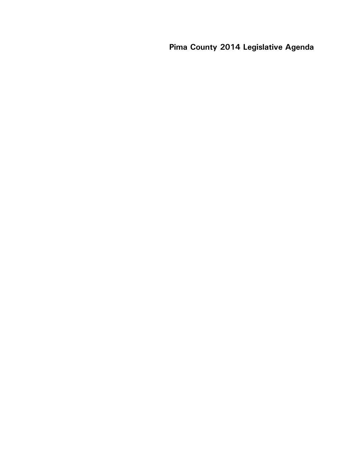**Pima County 2014 Legislative Agenda**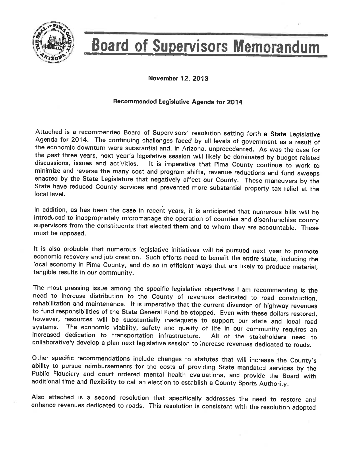

# **Board of Supervisors Memorandum**

November 12, 2013

#### Recommended Legislative Agenda for 2014

Attached is a recommended Board of Supervisors' resolution setting forth a State Legislative Agenda for 2014. The continuing challenges faced by all levels of government as a result of the economic downturn were substantial and, in Arizona, unprecedented. As was the case for the past three years, next year's legislative session will likely be dominated by budget related discussions, issues and activities. It is imperative that Pima County continue to work to minimize and reverse the many cost and program shifts, revenue reductions and fund sweeps enacted by the State Legislature that negatively affect our County. These maneuvers by the State have reduced County services and prevented more substantial property tax relief at the local level.

In addition, as has been the case in recent years, it is anticipated that numerous bills will be introduced to inappropriately micromanage the operation of counties and disenfranchise county supervisors from the constituents that elected them and to whom they are accountable. These must be opposed.

It is also probable that numerous legislative initiatives will be pursued next year to promote economic recovery and job creation. Such efforts need to benefit the entire state, including the local economy in Pima County, and do so in efficient ways that are likely to produce material, tangible results in our community.

The most pressing issue among the specific legislative objectives I am recommending is the need to increase distribution to the County of revenues dedicated to road construction, rehabilitation and maintenance. It is imperative that the current diversion of highway revenues to fund responsibilities of the State General Fund be stopped. Even with these dollars restored, however, resources will be substantially inadequate to support our state and local road The economic viability, safety and quality of life in our community requires an systems. increased dedication to transportation infrastructure. All of the stakeholders need to collaboratively develop a plan next legislative session to increase revenues dedicated to roads.

Other specific recommendations include changes to statutes that will increase the County's ability to pursue reimbursements for the costs of providing State mandated services by the Public Fiduciary and court ordered mental health evaluations, and provide the Board with additional time and flexibility to call an election to establish a County Sports Authority.

Also attached is a second resolution that specifically addresses the need to restore and enhance revenues dedicated to roads. This resolution is consistent with the resolution adopted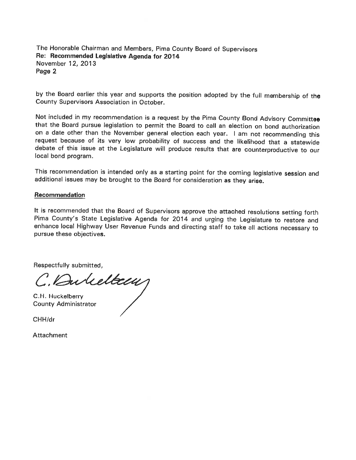The Honorable Chairman and Members, Pima County Board of Supervisors Re: Recommended Legislative Agenda for 2014 November 12, 2013 Page 2

by the Board earlier this year and supports the position adopted by the full membership of the County Supervisors Association in October.

Not included in my recommendation is a request by the Pima County Bond Advisory Committee that the Board pursue legislation to permit the Board to call an election on bond authorization on a date other than the November general election each year. I am not recommending this request because of its very low probability of success and the likelihood that a statewide debate of this issue at the Legislature will produce results that are counterproductive to our local bond program.

This recommendation is intended only as a starting point for the coming legislative session and additional issues may be brought to the Board for consideration as they arise.

#### Recommendation

It is recommended that the Board of Supervisors approve the attached resolutions setting forth Pima County's State Legislative Agenda for 2014 and urging the Legislature to restore and enhance local Highway User Revenue Funds and directing staff to take all actions necessary to pursue these objectives.

Respectfully submitted,

C. Bulettem

C.H. Huckelberry **County Administrator** 

CHH/dr

**Attachment**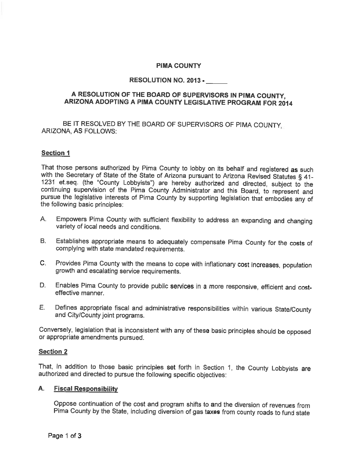#### **PIMA COUNTY**

#### **RESOLUTION NO. 2013 -**

#### A RESOLUTION OF THE BOARD OF SUPERVISORS IN PIMA COUNTY. ARIZONA ADOPTING A PIMA COUNTY LEGISLATIVE PROGRAM FOR 2014

BE IT RESOLVED BY THE BOARD OF SUPERVISORS OF PIMA COUNTY. ARIZONA, AS FOLLOWS:

#### **Section 1**

That those persons authorized by Pima County to lobby on its behalf and registered as such with the Secretary of State of the State of Arizona pursuant to Arizona Revised Statutes § 41-1231 et seq. (the "County Lobbyists") are hereby authorized and directed, subject to the continuing supervision of the Pima County Administrator and this Board, to represent and pursue the legislative interests of Pima County by supporting legislation that embodies any of the following basic principles:

- Empowers Pima County with sufficient flexibility to address an expanding and changing A. variety of local needs and conditions.
- Establishes appropriate means to adequately compensate Pima County for the costs of **B** complying with state mandated requirements.
- Provides Pima County with the means to cope with inflationary cost increases, population  $C_{\cdot}$ growth and escalating service requirements.
- Enables Pima County to provide public services in a more responsive, efficient and cost-D. effective manner.
- Е. Defines appropriate fiscal and administrative responsibilities within various State/County and City/County joint programs.

Conversely, legislation that is inconsistent with any of these basic principles should be opposed or appropriate amendments pursued.

#### **Section 2**

That, in addition to those basic principles set forth in Section 1, the County Lobbyists are authorized and directed to pursue the following specific objectives:

#### A. Fiscal Responsibility

Oppose continuation of the cost and program shifts to and the diversion of revenues from Pima County by the State, including diversion of gas taxes from county roads to fund state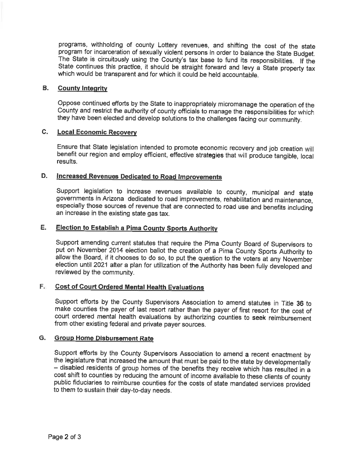programs, withholding of county Lottery revenues, and shifting the cost of the state program for incarceration of sexually violent persons in order to balance the State Budget. The State is circuitously using the County's tax base to fund its responsibilities. If the State continues this practice, it should be straight forward and levy a State property tax which would be transparent and for which it could be held accountable.

#### **B. County Integrity**

Oppose continued efforts by the State to inappropriately micromanage the operation of the County and restrict the authority of county officials to manage the responsibilities for which they have been elected and develop solutions to the challenges facing our community.

#### $C_{\rm L}$ **Local Economic Recovery**

Ensure that State legislation intended to promote economic recovery and job creation will benefit our region and employ efficient, effective strategies that will produce tangible, local results.

#### D. Increased Revenues Dedicated to Road Improvements

Support legislation to increase revenues available to county, municipal and state governments in Arizona dedicated to road improvements, rehabilitation and maintenance, especially those sources of revenue that are connected to road use and benefits including an increase in the existing state gas tax.

#### Е. **Election to Establish a Pima County Sports Authority**

Support amending current statutes that require the Pima County Board of Supervisors to put on November 2014 election ballot the creation of a Pima County Sports Authority to allow the Board, if it chooses to do so, to put the question to the voters at any November election until 2021 after a plan for utilization of the Authority has been fully developed and reviewed by the community.

## F. Cost of Court Ordered Mental Health Evaluations

Support efforts by the County Supervisors Association to amend statutes in Title 36 to make counties the payer of last resort rather than the payer of first resort for the cost of court ordered mental health evaluations by authorizing counties to seek reimbursement from other existing federal and private payer sources.

#### G. Group Home Disbursement Rate

Support efforts by the County Supervisors Association to amend a recent enactment by the legislature that increased the amount that must be paid to the state by developmentally - disabled residents of group homes of the benefits they receive which has resulted in a cost shift to counties by reducing the amount of income available to these clients of county public fiduciaries to reimburse counties for the costs of state mandated services provided to them to sustain their day-to-day needs.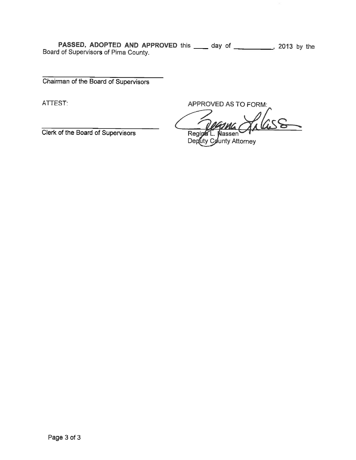**PASSED, ADOPTED AND APPROVED** this \_\_\_\_\_ day of \_\_\_\_\_\_\_\_\_\_\_, 2013 by the Board of Supervisors of Pima County.

Chairman of the Board of Supervisors

ATTEST:

APPROVED AS TO FORM:

Regin lassen

Deputy County Attorney

Clerk of the Board of Supervisors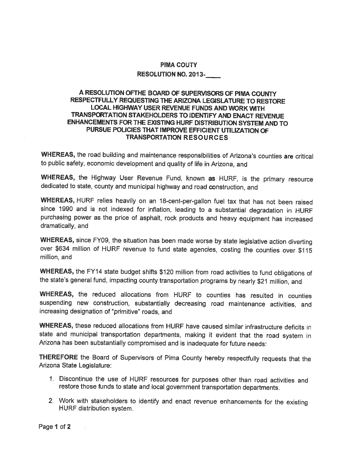#### **PIMA COUTY RESOLUTION NO. 2013-**

#### A RESOLUTION OFTHE BOARD OF SUPERVISORS OF PIMA COUNTY RESPECTFULLY REQUESTING THE ARIZONA LEGISLATURE TO RESTORE LOCAL HIGHWAY USER REVENUE FUNDS AND WORK WITH TRANSPORTATION STAKEHOLDERS TO IDENTIFY AND ENACT REVENUE ENHANCEMENTS FOR THE EXISTING HURF DISTRIBUTION SYSTEM AND TO PURSUE POLICIES THAT IMPROVE EFFICIENT UTILIZATION OF **TRANSPORTATION RESOURCES**

WHEREAS, the road building and maintenance responsibilities of Arizona's counties are critical to public safety, economic development and quality of life in Arizona, and

WHEREAS, the Highway User Revenue Fund, known as HURF, is the primary resource dedicated to state, county and municipal highway and road construction, and

WHEREAS, HURF relies heavily on an 18-cent-per-gallon fuel tax that has not been raised since 1990 and is not indexed for inflation, leading to a substantial degradation in HURF purchasing power as the price of asphalt, rock products and heavy equipment has increased dramatically, and

WHEREAS, since FY09, the situation has been made worse by state legislative action diverting over \$634 million of HURF revenue to fund state agencies, costing the counties over \$115 million, and

WHEREAS, the FY14 state budget shifts \$120 million from road activities to fund obligations of the state's general fund, impacting county transportation programs by nearly \$21 million, and

WHEREAS, the reduced allocations from HURF to counties has resulted in counties suspending new construction, substantially decreasing road maintenance activities, and increasing designation of "primitive" roads, and

WHEREAS, these reduced allocations from HURF have caused similar infrastructure deficits in state and municipal transportation departments, making it evident that the road system in Arizona has been substantially compromised and is inadequate for future needs:

THEREFORE the Board of Supervisors of Pima County hereby respectfully requests that the Arizona State Legislature:

- 1. Discontinue the use of HURF resources for purposes other than road activities and restore those funds to state and local government transportation departments.
- 2. Work with stakeholders to identify and enact revenue enhancements for the existing HURF distribution system.

Page 1 of 2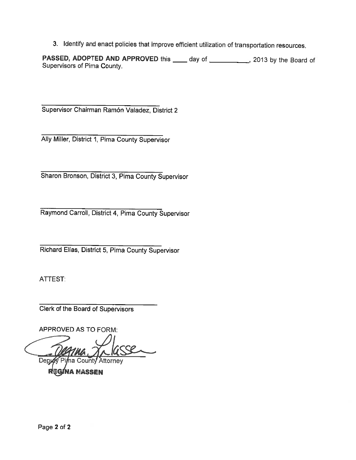3. Identify and enact policies that improve efficient utilization of transportation resources.

PASSED, ADOPTED AND APPROVED this \_\_\_\_ day of \_\_\_\_\_\_\_\_\_\_, 2013 by the Board of Supervisors of Pima County.

Supervisor Chairman Ramón Valadez, District 2

Ally Miller, District 1, Pima County Supervisor

Sharon Bronson, District 3, Pima County Supervisor

Raymond Carroll, District 4, Pima County Supervisor

Richard Elías, District 5, Pima County Supervisor

ATTEST:

Clerk of the Board of Supervisors

**APPROVED AS TO FORM:** 

**County Attorney** Dep

**NA MASSEN**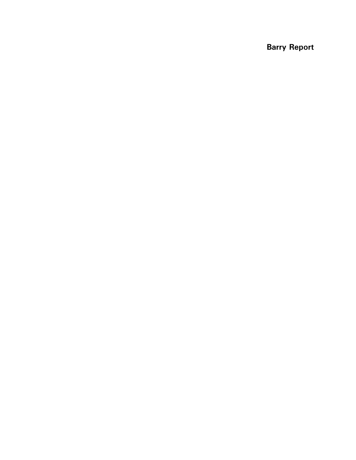**Barry Report**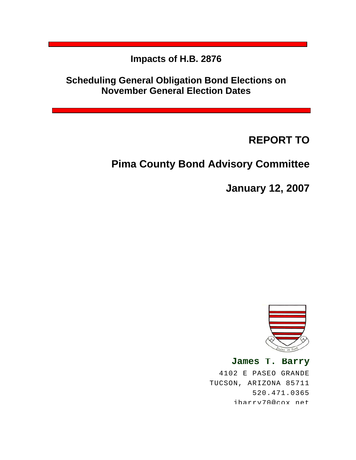**Impacts of H.B. 2876** 

**Scheduling General Obligation Bond Elections on November General Election Dates** 

**REPORT TO**

# **Pima County Bond Advisory Committee**

**January 12, 2007**



**James T. Barry** 4102 E PASEO GRANDE TUCSON, ARIZONA 85711 520.471.0365 jbarry70@cox net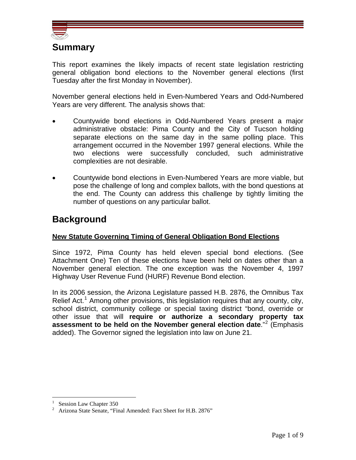

## **Summary**

This report examines the likely impacts of recent state legislation restricting general obligation bond elections to the November general elections (first Tuesday after the first Monday in November).

November general elections held in Even-Numbered Years and Odd-Numbered Years are very different. The analysis shows that:

- Countywide bond elections in Odd-Numbered Years present a major administrative obstacle: Pima County and the City of Tucson holding separate elections on the same day in the same polling place. This arrangement occurred in the November 1997 general elections. While the two elections were successfully concluded, such administrative complexities are not desirable.
- Countywide bond elections in Even-Numbered Years are more viable, but pose the challenge of long and complex ballots, with the bond questions at the end. The County can address this challenge by tightly limiting the number of questions on any particular ballot.

## **Background**

### **New Statute Governing Timing of General Obligation Bond Elections**

Since 1972, Pima County has held eleven special bond elections. (See Attachment One) Ten of these elections have been held on dates other than a November general election. The one exception was the November 4, 1997 Highway User Revenue Fund (HURF) Revenue Bond election.

In its 2006 session, the Arizona Legislature passed H.B. 2876, the Omnibus Tax Relief Act.<sup>[1](#page-12-0)</sup> Among other provisions, this legislation requires that any county, city, school district, community college or special taxing district "bond, override or other issue that will **require or authorize a secondary property tax assessment to be held on the November general election date**."[2](#page-12-1) (Emphasis added). The Governor signed the legislation into law on June 21.

<span id="page-12-0"></span> $\overline{a}$ 1 Session Law Chapter 350

<span id="page-12-1"></span><sup>&</sup>lt;sup>2</sup> Arizona State Senate, "Final Amended: Fact Sheet for H.B. 2876"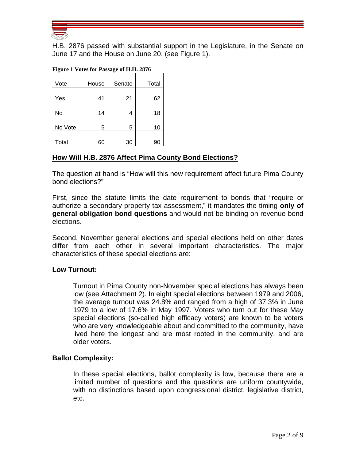

H.B. 2876 passed with substantial support in the Legislature, in the Senate on June 17 and the House on June 20. (see Figure 1).

|  |  |  | Figure 1 Votes for Passage of H.H. 2876 |
|--|--|--|-----------------------------------------|
|--|--|--|-----------------------------------------|

|         | $\frac{1}{2}$ and $\frac{1}{2}$ are $\frac{1}{2}$ and $\frac{1}{2}$ and $\frac{1}{2}$ are $\frac{1}{2}$ and $\frac{1}{2}$ |        |       |
|---------|---------------------------------------------------------------------------------------------------------------------------|--------|-------|
| Vote    | House                                                                                                                     | Senate | Total |
| Yes     | 41                                                                                                                        | 21     | 62    |
| No      | 14                                                                                                                        | 4      | 18    |
| No Vote | 5                                                                                                                         | 5      | 10    |
| Total   | 60                                                                                                                        | 30     | 90    |

## **How Will H.B. 2876 Affect Pima County Bond Elections?**

The question at hand is "How will this new requirement affect future Pima County bond elections?"

First, since the statute limits the date requirement to bonds that "require or authorize a secondary property tax assessment," it mandates the timing **only of general obligation bond questions** and would not be binding on revenue bond elections.

Second, November general elections and special elections held on other dates differ from each other in several important characteristics. The major characteristics of these special elections are:

#### **Low Turnout:**

Turnout in Pima County non-November special elections has always been low (see Attachment 2). In eight special elections between 1979 and 2006, the average turnout was 24.8% and ranged from a high of 37.3% in June 1979 to a low of 17.6% in May 1997. Voters who turn out for these May special elections (so-called high efficacy voters) are known to be voters who are very knowledgeable about and committed to the community, have lived here the longest and are most rooted in the community, and are older voters.

#### **Ballot Complexity:**

In these special elections, ballot complexity is low, because there are a limited number of questions and the questions are uniform countywide, with no distinctions based upon congressional district, legislative district, etc.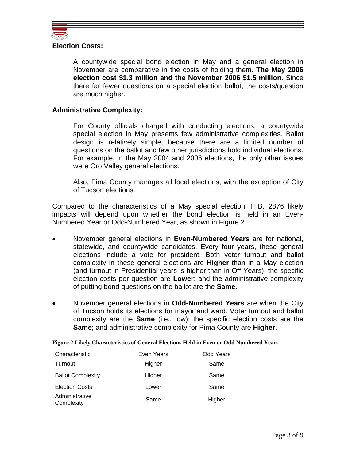

#### **Election Costs:**

A countywide special bond election in May and a general election in November are comparative in the costs of holding them. **The May 2006 election cost \$1.3 million and the November 2006 \$1.5 million**. Since there far fewer questions on a special election ballot, the costs/question are much higher.

#### **Administrative Complexity:**

For County officials charged with conducting elections, a countywide special election in May presents few administrative complexities. Ballot design is relatively simple, because there are a limited number of questions on the ballot and few other jurisdictions hold individual elections. For example, in the May 2004 and 2006 elections, the only other issues were Oro Valley general elections.

Also, Pima County manages all local elections, with the exception of City of Tucson elections.

Compared to the characteristics of a May special election, H.B. 2876 likely impacts will depend upon whether the bond election is held in an Even-Numbered Year or Odd-Numbered Year, as shown in Figure 2.

- November general elections in **Even-Numbered Years** are for national, statewide, and countywide candidates. Every four years, these general elections include a vote for president. Both voter turnout and ballot complexity in these general elections are **Higher** than in a May election (and turnout in Presidential years is higher than in Off-Years); the specific election costs per question are **Lower**; and the administrative complexity of putting bond questions on the ballot are the **Same**.
- November general elections in **Odd-Numbered Years** are when the City of Tucson holds its elections for mayor and ward. Voter turnout and ballot complexity are the **Same** (i.e., low); the specific election costs are the **Same**; and administrative complexity for Pima County are **Higher**.

| Characteristic               | Even Years | Odd Years |
|------------------------------|------------|-----------|
| Turnout                      | Higher     | Same      |
| <b>Ballot Complexity</b>     | Higher     | Same      |
| <b>Election Costs</b>        | Lower      | Same      |
| Administrative<br>Complexity | Same       | Higher    |

**Figure 2 Likely Characteristics of General Elections Held in Even or Odd Numbered Years**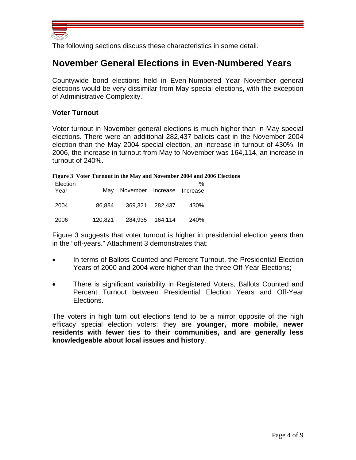

The following sections discuss these characteristics in some detail.

## **November General Elections in Even-Numbered Years**

Countywide bond elections held in Even-Numbered Year November general elections would be very dissimilar from May special elections, with the exception of Administrative Complexity.

#### **Voter Turnout**

Voter turnout in November general elections is much higher than in May special elections. There were an additional 282,437 ballots cast in the November 2004 election than the May 2004 special election, an increase in turnout of 430%. In 2006, the increase in turnout from May to November was 164,114, an increase in turnout of 240%.

|  |  | Figure 3 Voter Turnout in the May and November 2004 and 2006 Elections |  |
|--|--|------------------------------------------------------------------------|--|
|  |  |                                                                        |  |

| Election |         |                            |                 | %    |  |
|----------|---------|----------------------------|-----------------|------|--|
| Year     | Mav     | November Increase Increase |                 |      |  |
|          |         |                            |                 |      |  |
| 2004     | 86.884  |                            | 369.321 282.437 | 430% |  |
|          |         |                            |                 |      |  |
| 2006     | 120,821 | 284,935                    | 164,114         | 240% |  |

Figure 3 suggests that voter turnout is higher in presidential election years than in the "off-years." Attachment 3 demonstrates that:

- In terms of Ballots Counted and Percent Turnout, the Presidential Election Years of 2000 and 2004 were higher than the three Off-Year Elections;
- There is significant variability in Registered Voters, Ballots Counted and Percent Turnout between Presidential Election Years and Off-Year Elections.

The voters in high turn out elections tend to be a mirror opposite of the high efficacy special election voters: they are **younger, more mobile, newer residents with fewer ties to their communities, and are generally less knowledgeable about local issues and history**.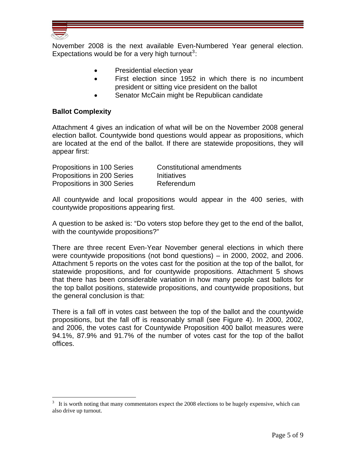

 $\overline{a}$ 

November 2008 is the next available Even-Numbered Year general election. Expectations would be for a very high turnout<sup>[3](#page-16-0)</sup>:

- Presidential election year
- First election since 1952 in which there is no incumbent president or sitting vice president on the ballot
- Senator McCain might be Republican candidate

#### **Ballot Complexity**

Attachment 4 gives an indication of what will be on the November 2008 general election ballot. Countywide bond questions would appear as propositions, which are located at the end of the ballot. If there are statewide propositions, they will appear first:

| Propositions in 100 Series | Constitutional amendments |
|----------------------------|---------------------------|
| Propositions in 200 Series | <b>Initiatives</b>        |
| Propositions in 300 Series | Referendum                |

All countywide and local propositions would appear in the 400 series, with countywide propositions appearing first.

A question to be asked is: "Do voters stop before they get to the end of the ballot, with the countywide propositions?"

There are three recent Even-Year November general elections in which there were countywide propositions (not bond questions) – in 2000, 2002, and 2006. Attachment 5 reports on the votes cast for the position at the top of the ballot, for statewide propositions, and for countywide propositions. Attachment 5 shows that there has been considerable variation in how many people cast ballots for the top ballot positions, statewide propositions, and countywide propositions, but the general conclusion is that:

There is a fall off in votes cast between the top of the ballot and the countywide propositions, but the fall off is reasonably small (see Figure 4). In 2000, 2002, and 2006, the votes cast for Countywide Proposition 400 ballot measures were 94.1%, 87.9% and 91.7% of the number of votes cast for the top of the ballot offices.

<span id="page-16-0"></span> $3\;\;$  It is worth noting that many commentators expect the 2008 elections to be hugely expensive, which can also drive up turnout.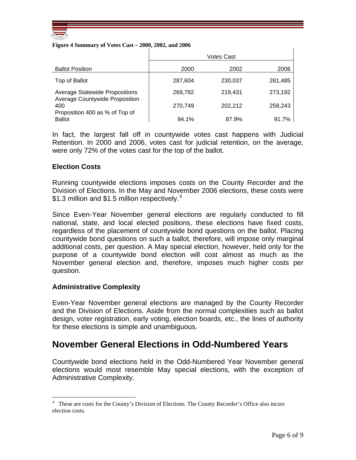

#### **Figure 4 Summary of Votes Cast – 2000, 2002, and 2006**

|                                                 | Votes Cast |         |         |
|-------------------------------------------------|------------|---------|---------|
| <b>Ballot Position</b>                          | 2000       | 2002    | 2006    |
| Top of Ballot                                   | 287,604    | 230,037 | 281,485 |
| <b>Average Statewide Propositions</b>           | 269,782    | 219.431 | 273,192 |
| Average Countywide Proposition<br>400           | 270,749    | 202,212 | 258,243 |
| Proposition 400 as % of Top of<br><b>Ballot</b> | 94.1%      | 87.9%   | 91.7%   |

In fact, the largest fall off in countywide votes cast happens with Judicial Retention. In 2000 and 2006, votes cast for judicial retention, on the average, were only 72% of the votes cast for the top of the ballot.

#### **Election Costs**

Running countywide elections imposes costs on the County Recorder and the Division of Elections. In the May and November 2006 elections, these costs were \$1.3 million and \$1.5 million respectively.<sup>[4](#page-17-0)</sup>

Since Even-Year November general elections are regularly conducted to fill national, state, and local elected positions, these elections have fixed costs, regardless of the placement of countywide bond questions on the ballot. Placing countywide bond questions on such a ballot, therefore, will impose only marginal additional costs, per question. A May special election, however, held only for the purpose of a countywide bond election will cost almost as much as the November general election and, therefore, imposes much higher costs per question.

#### **Administrative Complexity**

 $\overline{a}$ 

Even-Year November general elections are managed by the County Recorder and the Division of Elections. Aside from the normal complexities such as ballot design, voter registration, early voting, election boards, etc., the lines of authority for these elections is simple and unambiguous.

## **November General Elections in Odd-Numbered Years**

Countywide bond elections held in the Odd-Numbered Year November general elections would most resemble May special elections, with the exception of Administrative Complexity.

 $\mathbf{I}$ 

<span id="page-17-0"></span><sup>4</sup> These are costs for the County's Division of Elections. The County Recorder's Office also incurs election costs.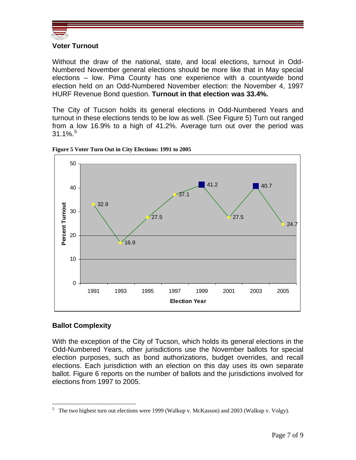

## **Voter Turnout**

Without the draw of the national, state, and local elections, turnout in Odd-Numbered November general elections should be more like that in May special elections – low. Pima County has one experience with a countywide bond election held on an Odd-Numbered November election: the November 4, 1997 HURF Revenue Bond question. **Turnout in that election was 33.4%.**

The City of Tucson holds its general elections in Odd-Numbered Years and turnout in these elections tends to be low as well. (See Figure 5) Turn out ranged from a low 16.9% to a high of 41.2%. Average turn out over the period was  $31.1\%$ . $^5$  $^5$ 



#### **Figure 5 Voter Turn Out in City Elections: 1991 to 2005**

#### **Ballot Complexity**

 $\overline{a}$ 

With the exception of the City of Tucson, which holds its general elections in the Odd-Numbered Years, other jurisdictions use the November ballots for special election purposes, such as bond authorizations, budget overrides, and recall elections. Each jurisdiction with an election on this day uses its own separate ballot. Figure 6 reports on the number of ballots and the jurisdictions involved for elections from 1997 to 2005.

<span id="page-18-0"></span><sup>&</sup>lt;sup>5</sup> The two highest turn out elections were 1999 (Walkup v. McKasson) and 2003 (Walkup v. Volgy).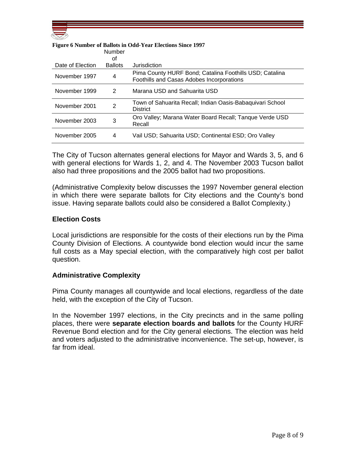

|                  | <b>Number</b>  |                                                                                                      |
|------------------|----------------|------------------------------------------------------------------------------------------------------|
|                  | οt             |                                                                                                      |
| Date of Election | <b>Ballots</b> | Jurisdiction                                                                                         |
| November 1997    | 4              | Pima County HURF Bond; Catalina Foothills USD; Catalina<br>Foothills and Casas Adobes Incorporations |
| November 1999    | 2              | Marana USD and Sahuarita USD                                                                         |
| November 2001    | 2              | Town of Sahuarita Recall; Indian Oasis-Babaquivari School<br><b>District</b>                         |
| November 2003    | 3              | Oro Valley; Marana Water Board Recall; Tanque Verde USD<br>Recall                                    |
| November 2005    | 4              | Vail USD; Sahuarita USD; Continental ESD; Oro Valley                                                 |

#### **Figure 6 Number of Ballots in Odd-Year Elections Since 1997**

The City of Tucson alternates general elections for Mayor and Wards 3, 5, and 6 with general elections for Wards 1, 2, and 4. The November 2003 Tucson ballot also had three propositions and the 2005 ballot had two propositions.

(Administrative Complexity below discusses the 1997 November general election in which there were separate ballots for City elections and the County's bond issue. Having separate ballots could also be considered a Ballot Complexity.)

#### **Election Costs**

Local jurisdictions are responsible for the costs of their elections run by the Pima County Division of Elections. A countywide bond election would incur the same full costs as a May special election, with the comparatively high cost per ballot question.

#### **Administrative Complexity**

Pima County manages all countywide and local elections, regardless of the date held, with the exception of the City of Tucson.

In the November 1997 elections, in the City precincts and in the same polling places, there were **separate election boards and ballots** for the County HURF Revenue Bond election and for the City general elections. The election was held and voters adjusted to the administrative inconvenience. The set-up, however, is far from ideal.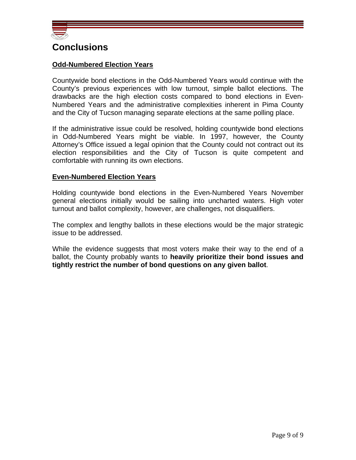

## **Conclusions**

#### **Odd-Numbered Election Years**

Countywide bond elections in the Odd-Numbered Years would continue with the County's previous experiences with low turnout, simple ballot elections. The drawbacks are the high election costs compared to bond elections in Even-Numbered Years and the administrative complexities inherent in Pima County and the City of Tucson managing separate elections at the same polling place.

If the administrative issue could be resolved, holding countywide bond elections in Odd-Numbered Years might be viable. In 1997, however, the County Attorney's Office issued a legal opinion that the County could not contract out its election responsibilities and the City of Tucson is quite competent and comfortable with running its own elections.

#### **Even-Numbered Election Years**

Holding countywide bond elections in the Even-Numbered Years November general elections initially would be sailing into uncharted waters. High voter turnout and ballot complexity, however, are challenges, not disqualifiers.

The complex and lengthy ballots in these elections would be the major strategic issue to be addressed.

While the evidence suggests that most voters make their way to the end of a ballot, the County probably wants to **heavily prioritize their bond issues and tightly restrict the number of bond questions on any given ballot**.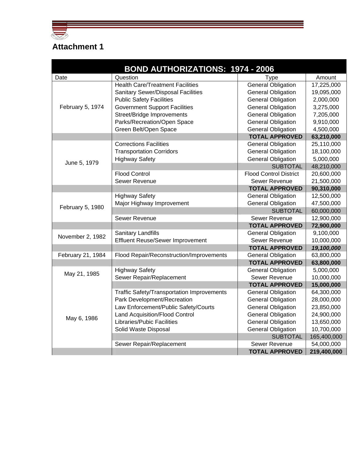

# **Attachment 1**

| <b>BOND AUTHORIZATIONS: 1974 - 2006</b> |                                            |                               |             |  |
|-----------------------------------------|--------------------------------------------|-------------------------------|-------------|--|
| Date                                    | Question                                   | <b>Type</b>                   | Amount      |  |
|                                         | <b>Health Care/Treatment Facilities</b>    | <b>General Obligation</b>     | 17,225,000  |  |
|                                         | <b>Sanitary Sewer/Disposal Facilities</b>  | <b>General Obligation</b>     | 19,095,000  |  |
|                                         | <b>Public Safety Facilities</b>            | <b>General Obligation</b>     | 2,000,000   |  |
| February 5, 1974                        | <b>Government Support Facilities</b>       | <b>General Obligation</b>     | 3,275,000   |  |
|                                         | Street/Bridge Improvements                 | <b>General Obligation</b>     | 7,205,000   |  |
|                                         | Parks/Recreation/Open Space                | <b>General Obligation</b>     | 9,910,000   |  |
|                                         | Green Belt/Open Space                      | <b>General Obligation</b>     | 4,500,000   |  |
|                                         |                                            | <b>TOTAL APPROVED</b>         | 63,210,000  |  |
|                                         | <b>Corrections Facilities</b>              | <b>General Obligation</b>     | 25,110,000  |  |
|                                         | <b>Transportation Corridors</b>            | <b>General Obligation</b>     | 18,100,000  |  |
| June 5, 1979                            | <b>Highway Safety</b>                      | <b>General Obligation</b>     | 5,000,000   |  |
|                                         |                                            | <b>SUBTOTAL</b>               | 48,210,000  |  |
|                                         | <b>Flood Control</b>                       | <b>Flood Control District</b> | 20,600,000  |  |
|                                         | Sewer Revenue                              | Sewer Revenue                 | 21,500,000  |  |
|                                         |                                            | <b>TOTAL APPROVED</b>         | 90,310,000  |  |
|                                         | <b>Highway Safety</b>                      | <b>General Obligation</b>     | 12,500,000  |  |
| February 5, 1980                        | Major Highway Improvement                  | <b>General Obligation</b>     | 47,500,000  |  |
|                                         |                                            | <b>SUBTOTAL</b>               | 60,000,000  |  |
|                                         | Sewer Revenue                              | Sewer Revenue                 | 12,900,000  |  |
|                                         |                                            | <b>TOTAL APPROVED</b>         | 72,900,000  |  |
| November 2, 1982                        | <b>Sanitary Landfills</b>                  | <b>General Obligation</b>     | 9,100,000   |  |
|                                         | <b>Effluent Reuse/Sewer Improvement</b>    | Sewer Revenue                 | 10,000,000  |  |
|                                         |                                            | <b>TOTAL APPROVED</b>         | 19,100,000  |  |
| February 21, 1984                       | Flood Repair/Reconstruction/Improvements   | <b>General Obligation</b>     | 63,800,000  |  |
|                                         |                                            | <b>TOTAL APPROVED</b>         | 63,800,000  |  |
| May 21, 1985                            | <b>Highway Safety</b>                      | <b>General Obligation</b>     | 5,000,000   |  |
|                                         | Sewer Repair/Replacement                   | Sewer Revenue                 | 10,000,000  |  |
|                                         |                                            | <b>TOTAL APPROVED</b>         | 15,000,000  |  |
|                                         | Traffic Safety/Transportation Improvements | <b>General Obligation</b>     | 64,300,000  |  |
|                                         | Park Development/Recreation                | <b>General Obligation</b>     | 28,000,000  |  |
|                                         | Law Enforcement/Public Safety/Courts       | <b>General Obligation</b>     | 23,850,000  |  |
| May 6, 1986                             | <b>Land Acquisition/Flood Control</b>      | <b>General Obligation</b>     | 24,900,000  |  |
|                                         | Libraries/Pubic Facilities                 | <b>General Obligation</b>     | 13,650,000  |  |
|                                         | Solid Waste Disposal                       | <b>General Obligation</b>     | 10,700,000  |  |
|                                         |                                            | <b>SUBTOTAL</b>               | 165,400,000 |  |
|                                         | Sewer Repair/Replacement                   | Sewer Revenue                 | 54,000,000  |  |
|                                         |                                            | <b>TOTAL APPROVED</b>         | 219,400,000 |  |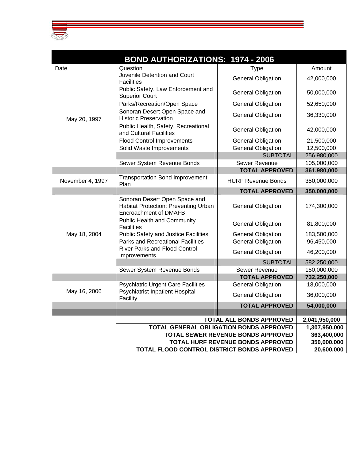

|                  | <b>BOND AUTHORIZATIONS: 1974 - 2006</b>                                                                                                                                                                                                                                            |                           |             |
|------------------|------------------------------------------------------------------------------------------------------------------------------------------------------------------------------------------------------------------------------------------------------------------------------------|---------------------------|-------------|
| Date             | Question                                                                                                                                                                                                                                                                           | <b>Type</b>               | Amount      |
|                  | Juvenile Detention and Court<br><b>Facilities</b>                                                                                                                                                                                                                                  | <b>General Obligation</b> | 42,000,000  |
|                  | Public Safety, Law Enforcement and<br><b>Superior Court</b>                                                                                                                                                                                                                        | <b>General Obligation</b> | 50,000,000  |
|                  | Parks/Recreation/Open Space                                                                                                                                                                                                                                                        | <b>General Obligation</b> | 52,650,000  |
| May 20, 1997     | Sonoran Desert Open Space and<br><b>Historic Preservation</b>                                                                                                                                                                                                                      | <b>General Obligation</b> | 36,330,000  |
|                  | Public Health, Safety, Recreational<br>and Cultural Facilities                                                                                                                                                                                                                     | <b>General Obligation</b> | 42,000,000  |
|                  | <b>Flood Control Improvements</b>                                                                                                                                                                                                                                                  | <b>General Obligation</b> | 21,500,000  |
|                  | Solid Waste Improvements                                                                                                                                                                                                                                                           | <b>General Obligation</b> | 12,500,000  |
|                  |                                                                                                                                                                                                                                                                                    | <b>SUBTOTAL</b>           | 256,980,000 |
|                  | Sewer System Revenue Bonds                                                                                                                                                                                                                                                         | Sewer Revenue             | 105,000,000 |
|                  |                                                                                                                                                                                                                                                                                    | <b>TOTAL APPROVED</b>     | 361,980,000 |
| November 4, 1997 | <b>Transportation Bond Improvement</b><br>Plan                                                                                                                                                                                                                                     | <b>HURF Revenue Bonds</b> | 350,000,000 |
|                  |                                                                                                                                                                                                                                                                                    | <b>TOTAL APPROVED</b>     | 350,000,000 |
|                  | Sonoran Desert Open Space and<br>Habitat Protection; Preventing Urban<br>Encroachment of DMAFB                                                                                                                                                                                     | <b>General Obligation</b> | 174,300,000 |
|                  | <b>Public Health and Community</b><br><b>Facilities</b>                                                                                                                                                                                                                            | <b>General Obligation</b> | 81,800,000  |
| May 18, 2004     | <b>Public Safety and Justice Facilities</b>                                                                                                                                                                                                                                        | <b>General Obligation</b> | 183,500,000 |
|                  | <b>Parks and Recreational Facilities</b>                                                                                                                                                                                                                                           | <b>General Obligation</b> | 96,450,000  |
|                  | <b>River Parks and Flood Control</b><br>Improvements                                                                                                                                                                                                                               | <b>General Obligation</b> | 46,200,000  |
|                  |                                                                                                                                                                                                                                                                                    | <b>SUBTOTAL</b>           | 582,250,000 |
|                  | Sewer System Revenue Bonds                                                                                                                                                                                                                                                         | <b>Sewer Revenue</b>      | 150,000,000 |
|                  |                                                                                                                                                                                                                                                                                    | <b>TOTAL APPROVED</b>     | 732,250,000 |
| May 16, 2006     | <b>Psychiatric Urgent Care Facilities</b><br><b>Psychiatrist Inpatient Hospital</b>                                                                                                                                                                                                | <b>General Obligation</b> | 18,000,000  |
|                  | Facility                                                                                                                                                                                                                                                                           | <b>General Obligation</b> | 36,000,000  |
|                  |                                                                                                                                                                                                                                                                                    | <b>TOTAL APPROVED</b>     | 54,000,000  |
|                  |                                                                                                                                                                                                                                                                                    |                           |             |
|                  | TOTAL ALL BONDS APPROVED<br>2,041,950,000<br>TOTAL GENERAL OBLIGATION BONDS APPROVED<br>1,307,950,000<br>TOTAL SEWER REVENUE BONDS APPROVED<br>363,400,000<br><b>TOTAL HURF REVENUE BONDS APPROVED</b><br>350,000,000<br>TOTAL FLOOD CONTROL DISTRICT BONDS APPROVED<br>20,600,000 |                           |             |
|                  |                                                                                                                                                                                                                                                                                    |                           |             |
|                  |                                                                                                                                                                                                                                                                                    |                           |             |
|                  |                                                                                                                                                                                                                                                                                    |                           |             |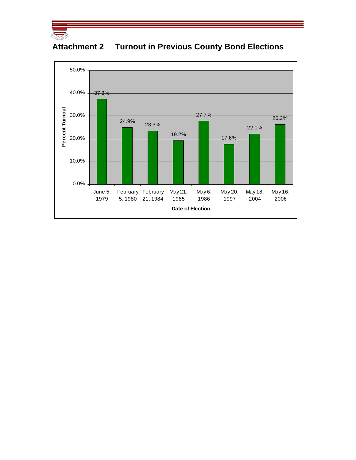



## **Attachment 2 Turnout in Previous County Bond Elections**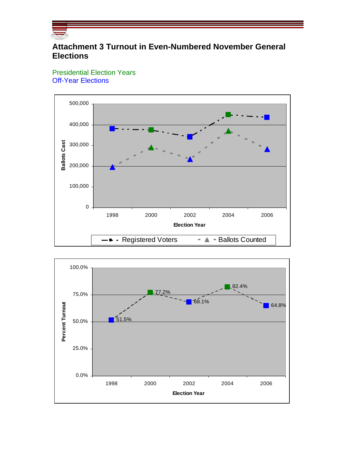

## **Attachment 3 Turnout in Even-Numbered November General Elections**

Presidential Election Years Off-Year Elections



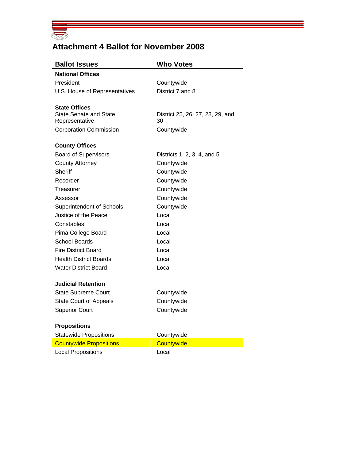

## **Attachment 4 Ballot for November 2008**

| <b>Ballot Issues</b>                                  | <b>Who Votes</b>                 |
|-------------------------------------------------------|----------------------------------|
| <b>National Offices</b>                               |                                  |
| President                                             | Countywide                       |
| U.S. House of Representatives                         | District 7 and 8                 |
|                                                       |                                  |
| <b>State Offices</b><br><b>State Senate and State</b> | District 25, 26, 27, 28, 29, and |
| Representative                                        | 30                               |
| <b>Corporation Commission</b>                         | Countywide                       |
| <b>County Offices</b>                                 |                                  |
| <b>Board of Supervisors</b>                           | Districts 1, 2, 3, 4, and 5      |
| <b>County Attorney</b>                                | Countywide                       |
| Sheriff                                               | Countywide                       |
| Recorder                                              | Countywide                       |
| Treasurer                                             | Countywide                       |
| Assessor                                              | Countywide                       |
| <b>Superintendent of Schools</b>                      | Countywide                       |
| Justice of the Peace                                  | Local                            |
| Constables                                            | Local                            |
| Pima College Board                                    | Local                            |
| School Boards                                         | Local                            |
| <b>Fire District Board</b>                            | Local                            |
| <b>Health District Boards</b>                         | Local                            |
| <b>Water District Board</b>                           | Local                            |
| <b>Judicial Retention</b>                             |                                  |
| <b>State Supreme Court</b>                            | Countywide                       |
| <b>State Court of Appeals</b>                         | Countywide                       |
| <b>Superior Court</b>                                 | Countywide                       |
| <b>Propositions</b>                                   |                                  |
| <b>Statewide Propositions</b>                         | Countywide                       |
| <b>Countywide Propositions</b>                        | Countywide                       |
| <b>Local Propositions</b>                             | Local                            |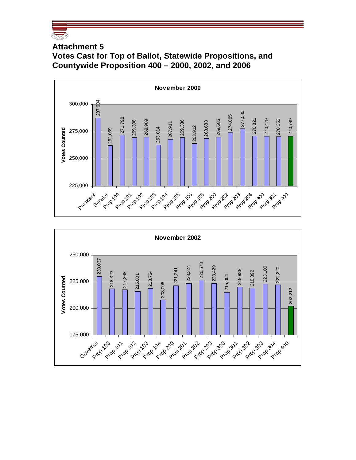

## **Attachment 5 Votes Cast for Top of Ballot, Statewide Propositions, and Countywide Proposition 400 – 2000, 2002, and 2006**